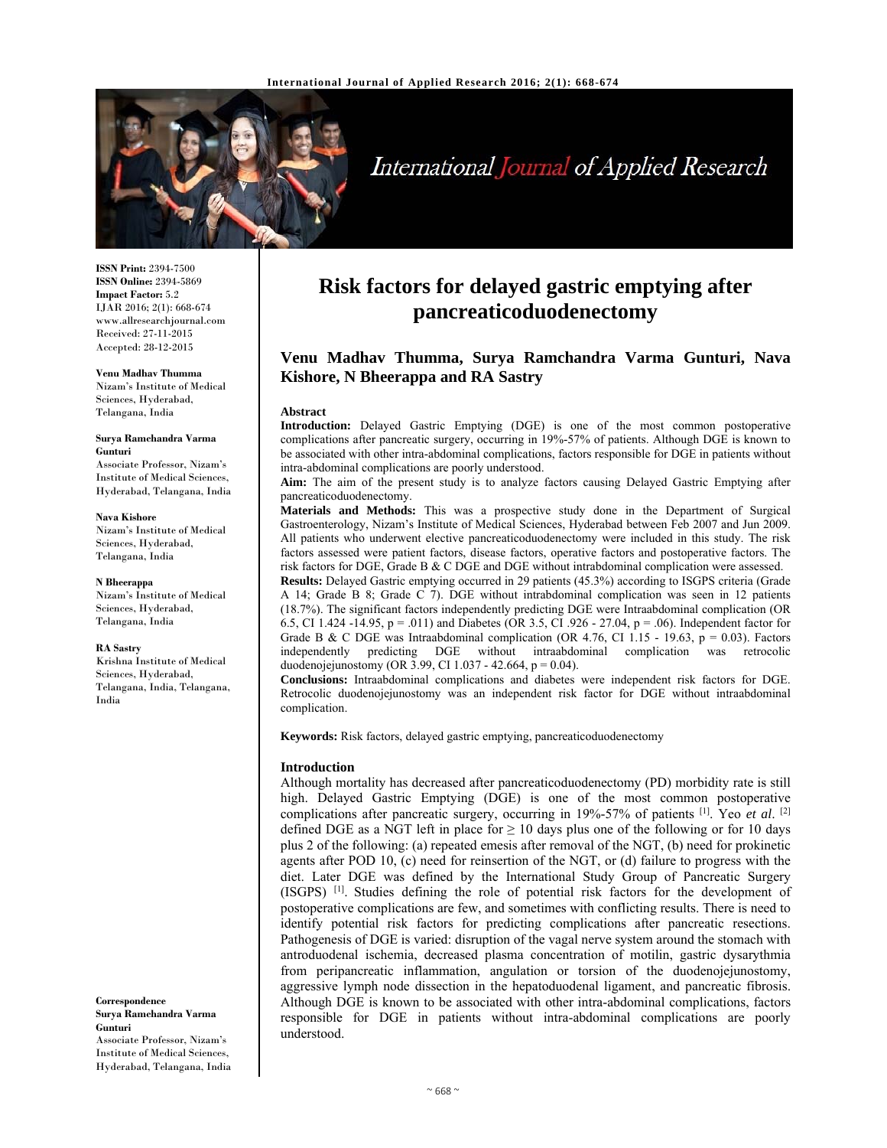

# International Journal of Applied Research

**ISSN Print:** 2394-7500 **ISSN Online:** 2394-5869 **Impact Factor:** 5.2 IJAR 2016; 2(1): 668-674 www.allresearchjournal.com Received: 27-11-2015 Accepted: 28-12-2015

#### **Venu Madhav Thumma**

Nizam's Institute of Medical Sciences, Hyderabad, Telangana, India

#### **Surya Ramchandra Varma Gunturi**

Associate Professor, Nizam's Institute of Medical Sciences, Hyderabad, Telangana, India

#### **Nava Kishore**

Nizam's Institute of Medical Sciences, Hyderabad, Telangana, India

**N Bheerappa** Nizam's Institute of Medical Sciences, Hyderabad, Telangana, India

#### **RA Sastry**

Krishna Institute of Medical Sciences, Hyderabad, Telangana, India, Telangana, India

**Correspondence Surya Ramchandra Varma Gunturi**  Associate Professor, Nizam's

Institute of Medical Sciences, Hyderabad, Telangana, India

# **Risk factors for delayed gastric emptying after pancreaticoduodenectomy**

# **Venu Madhav Thumma, Surya Ramchandra Varma Gunturi, Nava Kishore, N Bheerappa and RA Sastry**

#### **Abstract**

**Introduction:** Delayed Gastric Emptying (DGE) is one of the most common postoperative complications after pancreatic surgery, occurring in 19%-57% of patients. Although DGE is known to be associated with other intra-abdominal complications, factors responsible for DGE in patients without intra-abdominal complications are poorly understood.

**Aim:** The aim of the present study is to analyze factors causing Delayed Gastric Emptying after pancreaticoduodenectomy.

**Materials and Methods:** This was a prospective study done in the Department of Surgical Gastroenterology, Nizam's Institute of Medical Sciences, Hyderabad between Feb 2007 and Jun 2009. All patients who underwent elective pancreaticoduodenectomy were included in this study. The risk factors assessed were patient factors, disease factors, operative factors and postoperative factors. The risk factors for DGE, Grade B & C DGE and DGE without intrabdominal complication were assessed.

**Results:** Delayed Gastric emptying occurred in 29 patients (45.3%) according to ISGPS criteria (Grade A 14; Grade B 8; Grade C 7). DGE without intrabdominal complication was seen in 12 patients (18.7%). The significant factors independently predicting DGE were Intraabdominal complication (OR 6.5, CI 1.424 -14.95, p = .011) and Diabetes (OR 3.5, CI .926 - 27.04, p = .06). Independent factor for Grade B & C DGE was Intraabdominal complication (OR 4.76, CI 1.15 - 19.63,  $p = 0.03$ ). Factors independently predicting DGE without intraabdominal complication was retrocolic independently predicting DGE without intraabdominal complication was retrocolic duodenojejunostomy (OR 3.99, CI 1.037 - 42.664, p = 0.04).

**Conclusions:** Intraabdominal complications and diabetes were independent risk factors for DGE. Retrocolic duodenojejunostomy was an independent risk factor for DGE without intraabdominal complication.

**Keywords:** Risk factors, delayed gastric emptying, pancreaticoduodenectomy

#### **Introduction**

Although mortality has decreased after pancreaticoduodenectomy (PD) morbidity rate is still high. Delayed Gastric Emptying (DGE) is one of the most common postoperative complications after pancreatic surgery, occurring in 19%-57% of patients [1]. Yeo *et al*. [2] defined DGE as a NGT left in place for  $\geq 10$  days plus one of the following or for 10 days plus 2 of the following: (a) repeated emesis after removal of the NGT, (b) need for prokinetic agents after POD 10, (c) need for reinsertion of the NGT, or (d) failure to progress with the diet. Later DGE was defined by the International Study Group of Pancreatic Surgery (ISGPS) [1]. Studies defining the role of potential risk factors for the development of postoperative complications are few, and sometimes with conflicting results. There is need to identify potential risk factors for predicting complications after pancreatic resections. Pathogenesis of DGE is varied: disruption of the vagal nerve system around the stomach with antroduodenal ischemia, decreased plasma concentration of motilin, gastric dysarythmia from peripancreatic inflammation, angulation or torsion of the duodenojejunostomy, aggressive lymph node dissection in the hepatoduodenal ligament, and pancreatic fibrosis. Although DGE is known to be associated with other intra-abdominal complications, factors responsible for DGE in patients without intra-abdominal complications are poorly understood.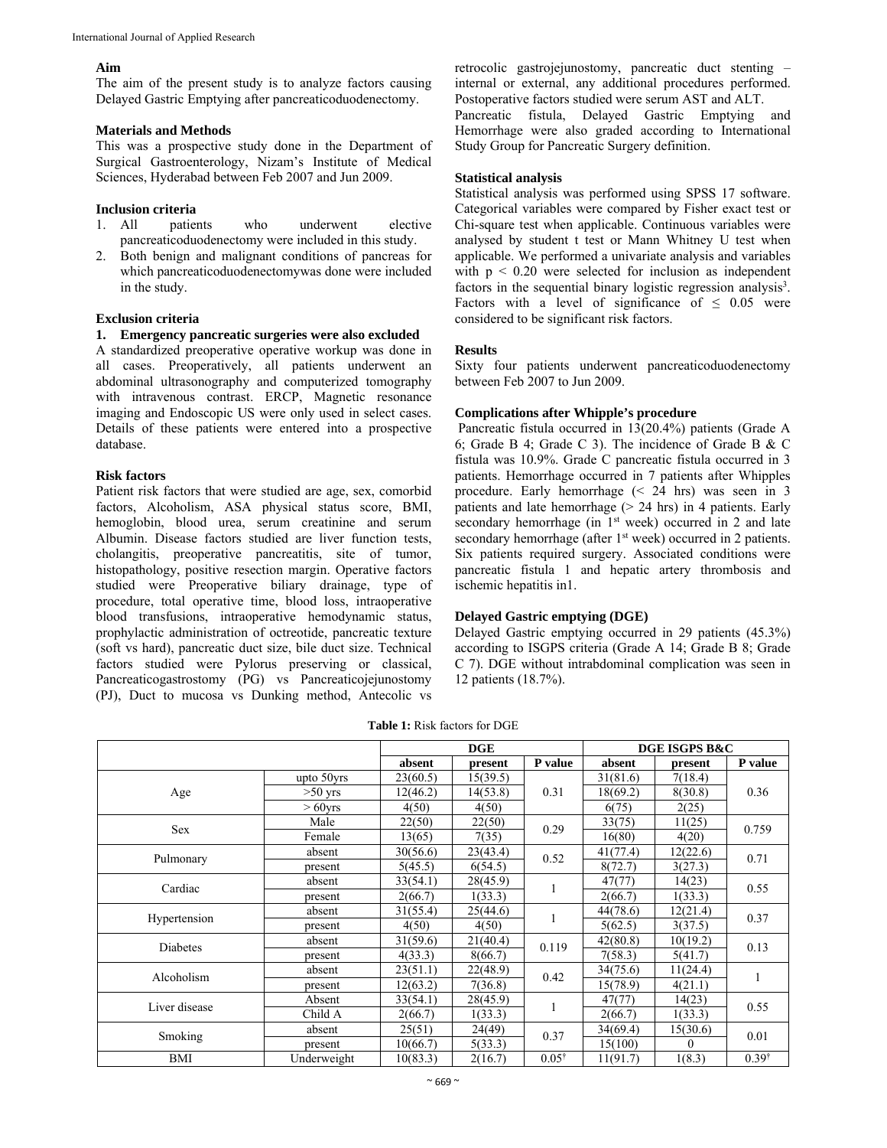#### **Aim**

The aim of the present study is to analyze factors causing Delayed Gastric Emptying after pancreaticoduodenectomy.

#### **Materials and Methods**

This was a prospective study done in the Department of Surgical Gastroenterology, Nizam's Institute of Medical Sciences, Hyderabad between Feb 2007 and Jun 2009.

#### **Inclusion criteria**

- 1. All patients who underwent elective pancreaticoduodenectomy were included in this study.
- 2. Both benign and malignant conditions of pancreas for which pancreaticoduodenectomywas done were included in the study.

# **Exclusion criteria**

# **1. Emergency pancreatic surgeries were also excluded**

A standardized preoperative operative workup was done in all cases. Preoperatively, all patients underwent an abdominal ultrasonography and computerized tomography with intravenous contrast. ERCP, Magnetic resonance imaging and Endoscopic US were only used in select cases. Details of these patients were entered into a prospective database.

#### **Risk factors**

Patient risk factors that were studied are age, sex, comorbid factors, Alcoholism, ASA physical status score, BMI, hemoglobin, blood urea, serum creatinine and serum Albumin. Disease factors studied are liver function tests, cholangitis, preoperative pancreatitis, site of tumor, histopathology, positive resection margin. Operative factors studied were Preoperative biliary drainage, type of procedure, total operative time, blood loss, intraoperative blood transfusions, intraoperative hemodynamic status, prophylactic administration of octreotide, pancreatic texture (soft vs hard), pancreatic duct size, bile duct size. Technical factors studied were Pylorus preserving or classical, Pancreaticogastrostomy (PG) vs Pancreaticojejunostomy (PJ), Duct to mucosa vs Dunking method, Antecolic vs retrocolic gastrojejunostomy, pancreatic duct stenting – internal or external, any additional procedures performed. Postoperative factors studied were serum AST and ALT.

Pancreatic fistula, Delayed Gastric Emptying and Hemorrhage were also graded according to International Study Group for Pancreatic Surgery definition.

#### **Statistical analysis**

Statistical analysis was performed using SPSS 17 software. Categorical variables were compared by Fisher exact test or Chi-square test when applicable. Continuous variables were analysed by student t test or Mann Whitney U test when applicable. We performed a univariate analysis and variables with  $p < 0.20$  were selected for inclusion as independent factors in the sequential binary logistic regression analysis<sup>3</sup>. Factors with a level of significance of  $\leq$  0.05 were considered to be significant risk factors.

# **Results**

Sixty four patients underwent pancreaticoduodenectomy between Feb 2007 to Jun 2009.

#### **Complications after Whipple's procedure**

 Pancreatic fistula occurred in 13(20.4%) patients (Grade A 6; Grade B 4; Grade C 3). The incidence of Grade B & C fistula was 10.9%. Grade C pancreatic fistula occurred in 3 patients. Hemorrhage occurred in 7 patients after Whipples procedure. Early hemorrhage (< 24 hrs) was seen in 3 patients and late hemorrhage (> 24 hrs) in 4 patients. Early secondary hemorrhage (in 1<sup>st</sup> week) occurred in 2 and late secondary hemorrhage (after 1<sup>st</sup> week) occurred in 2 patients. Six patients required surgery. Associated conditions were pancreatic fistula 1 and hepatic artery thrombosis and ischemic hepatitis in1.

#### **Delayed Gastric emptying (DGE)**

Delayed Gastric emptying occurred in 29 patients (45.3%) according to ISGPS criteria (Grade A 14; Grade B 8; Grade C 7). DGE without intrabdominal complication was seen in 12 patients (18.7%).

| <b>Table 1:</b> Risk factors for DGE |  |  |  |  |
|--------------------------------------|--|--|--|--|
|--------------------------------------|--|--|--|--|

|                 |               | $\bf DGE$ |          |                  |          | DGE ISGPS B&C |                  |  |
|-----------------|---------------|-----------|----------|------------------|----------|---------------|------------------|--|
|                 |               | absent    | present  | P value          | absent   | present       | P value          |  |
|                 | upto $50$ yrs | 23(60.5)  | 15(39.5) |                  | 31(81.6) | 7(18.4)       |                  |  |
| Age             | $>50$ yrs     | 12(46.2)  | 14(53.8) | 0.31             | 18(69.2) | 8(30.8)       | 0.36             |  |
|                 | $> 60$ vrs    | 4(50)     | 4(50)    |                  | 6(75)    | 2(25)         |                  |  |
|                 | Male          | 22(50)    | 22(50)   | 0.29             | 33(75)   | 11(25)        | 0.759            |  |
| Sex             | Female        | 13(65)    | 7(35)    |                  | 16(80)   | 4(20)         |                  |  |
|                 | absent        | 30(56.6)  | 23(43.4) | 0.52             | 41(77.4) | 12(22.6)      |                  |  |
| Pulmonary       | present       | 5(45.5)   | 6(54.5)  |                  | 8(72.7)  | 3(27.3)       | 0.71             |  |
| Cardiac         | absent        | 33(54.1)  | 28(45.9) |                  | 47(77)   | 14(23)        | 0.55             |  |
|                 | present       | 2(66.7)   | 1(33.3)  |                  | 2(66.7)  | 1(33.3)       |                  |  |
|                 | absent        | 31(55.4)  | 25(44.6) |                  |          | 12(21.4)      | 0.37             |  |
| Hypertension    | present       | 4(50)     | 4(50)    |                  | 5(62.5)  | 3(37.5)       |                  |  |
| <b>Diabetes</b> | absent        | 31(59.6)  | 21(40.4) | 0.119            | 42(80.8) | 10(19.2)      | 0.13             |  |
|                 | present       | 4(33.3)   | 8(66.7)  |                  | 7(58.3)  | 5(41.7)       |                  |  |
| Alcoholism      | absent        | 23(51.1)  | 22(48.9) | 0.42             | 34(75.6) | 11(24.4)      |                  |  |
|                 | present       | 12(63.2)  | 7(36.8)  |                  | 15(78.9) | 4(21.1)       |                  |  |
| Liver disease   | Absent        | 33(54.1)  | 28(45.9) |                  | 47(77)   | 14(23)        | 0.55             |  |
|                 | Child A       | 2(66.7)   | 1(33.3)  |                  | 2(66.7)  | 1(33.3)       |                  |  |
|                 | absent        | 25(51)    | 24(49)   |                  | 34(69.4) | 15(30.6)      |                  |  |
| Smoking         | present       | 10(66.7)  | 5(33.3)  | 0.37             | 15(100)  | $\Omega$      | 0.01             |  |
| <b>BMI</b>      | Underweight   | 10(83.3)  | 2(16.7)  | $0.05^{\dagger}$ | 11(91.7) | 1(8.3)        | $0.39^{\dagger}$ |  |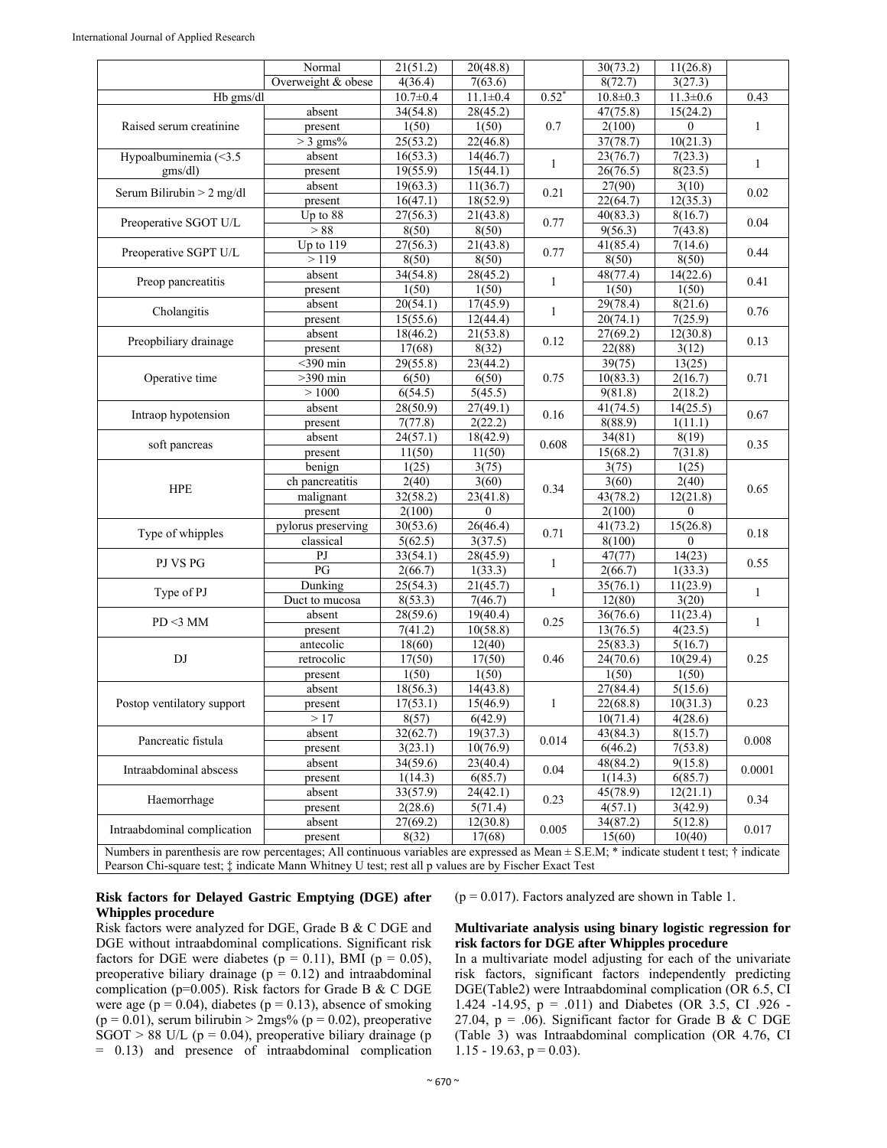|                                                                                                                                                                                                                                                            | Normal               | 21(51.2)       | 20(48.8)              |              | 30(73.2)              | 11(26.8)         |              |  |
|------------------------------------------------------------------------------------------------------------------------------------------------------------------------------------------------------------------------------------------------------------|----------------------|----------------|-----------------------|--------------|-----------------------|------------------|--------------|--|
|                                                                                                                                                                                                                                                            | Overweight & obese   | 4(36.4)        | 7(63.6)               |              | 8(72.7)               | 3(27.3)          |              |  |
| Hb gms/dl                                                                                                                                                                                                                                                  |                      | $10.7 \pm 0.4$ | $11.1 \pm 0.4$        | $0.52*$      | $10.8 \pm 0.3$        | $11.3 \pm 0.6$   | 0.43         |  |
|                                                                                                                                                                                                                                                            | absent               | 34(54.8)       | 28(45.2)              |              | 47(75.8)              | 15(24.2)         |              |  |
| Raised serum creatinine                                                                                                                                                                                                                                    | present              | 1(50)          | 1(50)                 | 0.7          | 2(100)                | $\boldsymbol{0}$ | $\mathbf{1}$ |  |
|                                                                                                                                                                                                                                                            | $>$ 3 gms%           | 25(53.2)       | 22(46.8)              |              | 37(78.7)              | 10(21.3)         |              |  |
|                                                                                                                                                                                                                                                            |                      |                | $\overline{14(46.7)}$ |              | $\overline{23(76.7)}$ | 7(23.3)          |              |  |
| Hypoalbuminemia (<3.5                                                                                                                                                                                                                                      | absent               | 16(53.3)       |                       | $\mathbf{1}$ |                       |                  | $\mathbf{1}$ |  |
| gms/dl)                                                                                                                                                                                                                                                    | present              | 19(55.9)       | 15(44.1)              |              | $\overline{26(76.5)}$ | 8(23.5)          |              |  |
| Serum Bilirubin > 2 mg/dl                                                                                                                                                                                                                                  | absent               | 19(63.3)       | 11(36.7)              | 0.21         | 27(90)                | 3(10)            | 0.02         |  |
|                                                                                                                                                                                                                                                            | present              | 16(47.1)       | 18(52.9)              |              | 22(64.7)              | 12(35.3)         |              |  |
| Preoperative SGOT U/L                                                                                                                                                                                                                                      | Up to 88             | 27(56.3)       | 21(43.8)              | 0.77         | 40(83.3)              | 8(16.7)          | 0.04         |  |
|                                                                                                                                                                                                                                                            | $>88$                | 8(50)          | 8(50)                 |              | 9(56.3)               | 7(43.8)          |              |  |
| Preoperative SGPT U/L                                                                                                                                                                                                                                      | Up to $119$          | 27(56.3)       | 21(43.8)              | 0.77         | 41(85.4)              | 7(14.6)          | 0.44         |  |
|                                                                                                                                                                                                                                                            | >119                 | 8(50)          | 8(50)                 |              | 8(50)                 | 8(50)            |              |  |
| Preop pancreatitis                                                                                                                                                                                                                                         | absent               | 34(54.8)       | 28(45.2)              | $\mathbf{1}$ | 48(77.4)              | 14(22.6)         | 0.41         |  |
|                                                                                                                                                                                                                                                            | present              | 1(50)          | 1(50)                 |              | 1(50)                 | 1(50)            |              |  |
| Cholangitis                                                                                                                                                                                                                                                | absent               | 20(54.1)       | 17(45.9)              | $\mathbf{1}$ | 29(78.4)              | 8(21.6)          | 0.76         |  |
|                                                                                                                                                                                                                                                            | present              | 15(55.6)       | 12(44.4)              |              | 20(74.1)              | 7(25.9)          |              |  |
| Preopbiliary drainage                                                                                                                                                                                                                                      | absent               | 18(46.2)       | 21(53.8)              | 0.12         | 27(69.2)              | 12(30.8)         | 0.13         |  |
|                                                                                                                                                                                                                                                            | present              | 17(68)         | 8(32)                 |              | 22(88)                | 3(12)            |              |  |
|                                                                                                                                                                                                                                                            | $\overline{390}$ min | 29(55.8)       | 23(44.2)              |              | 39(75)                | 13(25)           |              |  |
| Operative time                                                                                                                                                                                                                                             | $>390$ min           | 6(50)          | 6(50)                 | 0.75         | 10(83.3)              | 2(16.7)          | 0.71         |  |
|                                                                                                                                                                                                                                                            | >1000                | 6(54.5)        | 5(45.5)               |              | 9(81.8)               | 2(18.2)          |              |  |
| Intraop hypotension                                                                                                                                                                                                                                        | absent               | 28(50.9)       | 27(49.1)              | 0.16         | 41(74.5)              | 14(25.5)         | 0.67         |  |
|                                                                                                                                                                                                                                                            | present              | 7(77.8)        | 2(22.2)               |              | 8(88.9)               | 1(11.1)          |              |  |
|                                                                                                                                                                                                                                                            | absent               | 24(57.1)       | 18(42.9)              | 0.608        | 34(81)                | 8(19)            | 0.35         |  |
| soft pancreas                                                                                                                                                                                                                                              | present              | 11(50)         | 11(50)                |              | 15(68.2)              | 7(31.8)          |              |  |
|                                                                                                                                                                                                                                                            | benign               | 1(25)          | 3(75)                 |              | 3(75)                 | 1(25)            |              |  |
|                                                                                                                                                                                                                                                            | ch pancreatitis      | 2(40)          | 3(60)                 | 0.34         | 3(60)                 | 2(40)            | 0.65         |  |
| <b>HPE</b>                                                                                                                                                                                                                                                 | malignant            | 32(58.2)       | 23(41.8)              |              | 43(78.2)              | 12(21.8)         |              |  |
|                                                                                                                                                                                                                                                            | present              | 2(100)         | $\theta$              |              | 2(100)                | $\theta$         |              |  |
|                                                                                                                                                                                                                                                            | pylorus preserving   | 30(53.6)       | 26(46.4)              |              | 41(73.2)              | 15(26.8)         |              |  |
| Type of whipples                                                                                                                                                                                                                                           | classical            | 5(62.5)        | 3(37.5)               | 0.71         | 8(100)                | $\theta$         | 0.18         |  |
|                                                                                                                                                                                                                                                            | PJ                   | 33(54.1)       | 28(45.9)              |              | 47(77)                | 14(23)           |              |  |
| PJ VS PG                                                                                                                                                                                                                                                   | PG                   | 2(66.7)        | 1(33.3)               | $\mathbf{1}$ | 2(66.7)               | 1(33.3)          | 0.55         |  |
|                                                                                                                                                                                                                                                            | Dunking              | 25(54.3)       | 21(45.7)              |              | 35(76.1)              | 11(23.9)         |              |  |
| Type of PJ                                                                                                                                                                                                                                                 | Duct to mucosa       | 8(53.3)        | 7(46.7)               | $\mathbf{1}$ | 12(80)                | 3(20)            | $\mathbf{1}$ |  |
|                                                                                                                                                                                                                                                            | absent               | 28(59.6)       | 19(40.4)              |              | 36(76.6)              | 11(23.4)         |              |  |
| $PD < 3$ MM                                                                                                                                                                                                                                                | present              | 7(41.2)        | 10(58.8)              | 0.25         | 13(76.5)              | 4(23.5)          | $\mathbf{1}$ |  |
|                                                                                                                                                                                                                                                            | antecolic            | 18(60)         | 12(40)                |              | 25(83.3)              | 5(16.7)          |              |  |
| DJ                                                                                                                                                                                                                                                         | retrocolic           | 17(50)         | 17(50)                | 0.46         | 24(70.6)              | 10(29.4)         | 0.25         |  |
|                                                                                                                                                                                                                                                            | present              | 1(50)          | 1(50)                 |              | 1(50)                 | 1(50)            |              |  |
|                                                                                                                                                                                                                                                            | absent               | 18(56.3)       | 14(43.8)              |              | 27(84.4)              | 5(15.6)          |              |  |
|                                                                                                                                                                                                                                                            | present              | 17(53.1)       | 15(46.9)              | 1            | 22(68.8)              | 10(31.3)         | 0.23         |  |
| Postop ventilatory support                                                                                                                                                                                                                                 | >17                  | 8(57)          | 6(42.9)               |              | 10(71.4)              | 4(28.6)          |              |  |
|                                                                                                                                                                                                                                                            | absent               | 32(62.7)       | 19(37.3)              |              | 43(84.3)              | 8(15.7)          |              |  |
| Pancreatic fistula                                                                                                                                                                                                                                         | present              | 3(23.1)        | 10(76.9)              | 0.014        | 6(46.2)               | 7(53.8)          | 0.008        |  |
|                                                                                                                                                                                                                                                            |                      |                |                       |              | 48(84.2)              |                  |              |  |
| Intraabdominal abscess                                                                                                                                                                                                                                     | absent               | 34(59.6)       | 23(40.4)              | 0.04         |                       | 9(15.8)          | 0.0001       |  |
|                                                                                                                                                                                                                                                            | present              | 1(14.3)        | 6(85.7)               |              | 1(14.3)               | 6(85.7)          |              |  |
| Haemorrhage                                                                                                                                                                                                                                                | absent               | 33(57.9)       | 24(42.1)              | 0.23         | 45(78.9)              | 12(21.1)         | 0.34         |  |
|                                                                                                                                                                                                                                                            | present              | 2(28.6)        | 5(71.4)               |              | 4(57.1)               | 3(42.9)          |              |  |
| Intraabdominal complication                                                                                                                                                                                                                                | absent               | 27(69.2)       | 12(30.8)              | 0.005        | 34(87.2)              | 5(12.8)          | 0.017        |  |
|                                                                                                                                                                                                                                                            | present              | 8(32)          | 17(68)                |              | 15(60)                | 10(40)           |              |  |
| Numbers in parenthesis are row percentages; All continuous variables are expressed as Mean ± S.E.M; * indicate student t test; † indicate<br>Pearson Chi-square test; $\ddagger$ indicate Mann Whitney U test; rest all p values are by Fischer Exact Test |                      |                |                       |              |                       |                  |              |  |

#### **Risk factors for Delayed Gastric Emptying (DGE) after Whipples procedure**

Risk factors were analyzed for DGE, Grade B & C DGE and DGE without intraabdominal complications. Significant risk factors for DGE were diabetes ( $p = 0.11$ ), BMI ( $p = 0.05$ ), preoperative biliary drainage  $(p = 0.12)$  and intraabdominal complication (p=0.005). Risk factors for Grade B & C DGE were age ( $p = 0.04$ ), diabetes ( $p = 0.13$ ), absence of smoking  $(p = 0.01)$ , serum bilirubin > 2mgs% (p = 0.02), preoperative  $SGOT > 88$  U/L (p = 0.04), preoperative biliary drainage (p = 0.13) and presence of intraabdominal complication

 $(p = 0.017)$ . Factors analyzed are shown in Table 1.

#### **Multivariate analysis using binary logistic regression for risk factors for DGE after Whipples procedure**

In a multivariate model adjusting for each of the univariate risk factors, significant factors independently predicting DGE(Table2) were Intraabdominal complication (OR 6.5, CI 1.424 -14.95, p = .011) and Diabetes (OR 3.5, CI .926 - 27.04,  $p = .06$ ). Significant factor for Grade B & C DGE (Table 3) was Intraabdominal complication (OR 4.76, CI  $1.15 - 19.63$ ,  $p = 0.03$ ).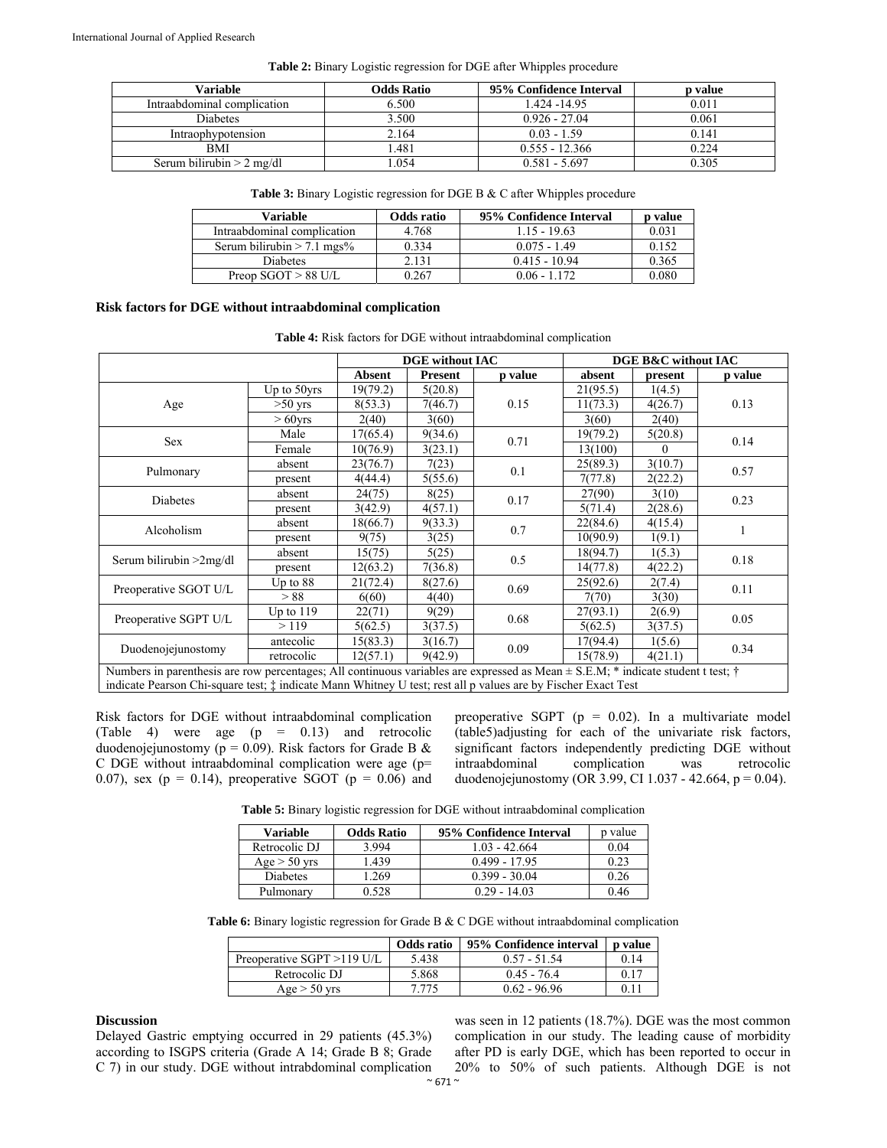| Variable                    | <b>Odds Ratio</b> | 95% Confidence Interval | <b>p</b> value |
|-----------------------------|-------------------|-------------------------|----------------|
| Intraabdominal complication | 6.500             | 1.424 - 14.95           | 0.011          |
| <b>Diabetes</b>             | 3.500             | $0.926 - 27.04$         | 0.061          |
| Intraophypotension          | 2.164             | $0.03 - 1.59$           | 0.141          |
| <b>BMI</b>                  | .481              | $0.555 - 12.366$        | 0.224          |
| Serum bilirubin $> 2$ mg/dl | .054              | $0.581 - 5.697$         | 0.305          |

**Table 2:** Binary Logistic regression for DGE after Whipples procedure

**Table 3:** Binary Logistic regression for DGE B & C after Whipples procedure

| Variable                     | Odds ratio | 95% Confidence Interval | <b>p</b> value |
|------------------------------|------------|-------------------------|----------------|
| Intraabdominal complication  | 4.768      | $1.15 - 19.63$          | 0.031          |
| Serum bilirubin $> 7.1$ mgs% | 0.334      | $0.075 - 1.49$          | 0.152          |
| <b>Diabetes</b>              | 2.131      | $0.415 - 10.94$         | 0.365          |
| Preop $SGOT > 88$ U/L        | 0.267      | $0.06 - 1.172$          | 0.080          |

#### **Risk factors for DGE without intraabdominal complication**

|                                                                                                                                                                                                                                                                |                      |          | <b>DGE</b> without IAC |         |          | DGE B&C without IAC |              |  |
|----------------------------------------------------------------------------------------------------------------------------------------------------------------------------------------------------------------------------------------------------------------|----------------------|----------|------------------------|---------|----------|---------------------|--------------|--|
|                                                                                                                                                                                                                                                                |                      | Absent   | <b>Present</b>         | p value | absent   | present             | p value      |  |
|                                                                                                                                                                                                                                                                | Up to $50\text{vrs}$ | 19(79.2) | 5(20.8)                |         | 21(95.5) | 1(4.5)              |              |  |
| Age                                                                                                                                                                                                                                                            | $>50$ yrs            | 8(53.3)  | 7(46.7)                | 0.15    | 11(73.3) | 4(26.7)             | 0.13         |  |
|                                                                                                                                                                                                                                                                | $> 60$ vrs           | 2(40)    | 3(60)                  |         | 3(60)    | 2(40)               |              |  |
|                                                                                                                                                                                                                                                                | Male                 | 17(65.4) | 9(34.6)                |         | 19(79.2) | 5(20.8)             |              |  |
| <b>Sex</b>                                                                                                                                                                                                                                                     | Female               | 10(76.9) | 3(23.1)                | 0.71    | 13(100)  | $\Omega$            | 0.14         |  |
|                                                                                                                                                                                                                                                                | absent               | 23(76.7) | 7(23)                  | 0.1     | 25(89.3) | 3(10.7)             | 0.57         |  |
| Pulmonary                                                                                                                                                                                                                                                      | present              | 4(44.4)  | 5(55.6)                |         | 7(77.8)  | 2(22.2)             |              |  |
| Diabetes                                                                                                                                                                                                                                                       | absent               | 24(75)   | 8(25)                  |         | 27(90)   | 3(10)               |              |  |
|                                                                                                                                                                                                                                                                | present              | 3(42.9)  | 4(57.1)                | 0.17    | 5(71.4)  | 2(28.6)             | 0.23         |  |
| Alcoholism                                                                                                                                                                                                                                                     | absent               | 18(66.7) | 9(33.3)                | 0.7     | 22(84.6) | 4(15.4)             | $\mathbf{1}$ |  |
|                                                                                                                                                                                                                                                                | present              | 9(75)    | 3(25)                  |         | 10(90.9) | 1(9.1)              |              |  |
|                                                                                                                                                                                                                                                                | absent               | 15(75)   | 5(25)                  |         | 18(94.7) | 1(5.3)              |              |  |
| Serum bilirubin $>2mg/dl$                                                                                                                                                                                                                                      | present              | 12(63.2) | 7(36.8)                | 0.5     | 14(77.8) | 4(22.2)             | 0.18         |  |
|                                                                                                                                                                                                                                                                | Up to $88$           | 21(72.4) | 8(27.6)                | 0.69    | 25(92.6) | 2(7.4)              | 0.11         |  |
| Preoperative SGOT U/L                                                                                                                                                                                                                                          | > 88                 | 6(60)    | 4(40)                  |         | 7(70)    | 3(30)               |              |  |
|                                                                                                                                                                                                                                                                | Up to $119$          | 22(71)   | 9(29)                  |         | 27(93.1) | 2(6.9)              |              |  |
| Preoperative SGPT U/L                                                                                                                                                                                                                                          | >119                 | 5(62.5)  | 3(37.5)                | 0.68    | 5(62.5)  | 3(37.5)             | 0.05         |  |
|                                                                                                                                                                                                                                                                | antecolic            | 15(83.3) | 3(16.7)                |         | 17(94.4) | 1(5.6)              |              |  |
| Duodenojejunostomy                                                                                                                                                                                                                                             | retrocolic           | 12(57.1) | 9(42.9)                | 0.09    | 15(78.9) | 4(21.1)             | 0.34         |  |
| Numbers in parenthesis are row percentages; All continuous variables are expressed as Mean $\pm$ S.E.M; * indicate student t test; †<br>indicate Pearson Chi-square test; $\ddagger$ indicate Mann Whitney U test; rest all p values are by Fischer Exact Test |                      |          |                        |         |          |                     |              |  |

**Table 4:** Risk factors for DGE without intraabdominal complication

Risk factors for DGE without intraabdominal complication (Table 4) were age (p = 0.13) and retrocolic duodenojejunostomy (p = 0.09). Risk factors for Grade B  $\&$ C DGE without intraabdominal complication were age (p= 0.07), sex ( $p = 0.14$ ), preoperative SGOT ( $p = 0.06$ ) and preoperative SGPT ( $p = 0.02$ ). In a multivariate model (table5)adjusting for each of the univariate risk factors, significant factors independently predicting DGE without intraabdominal complication was retrocolic duodenojejunostomy (OR 3.99, CI 1.037 - 42.664, p = 0.04).

**Table 5:** Binary logistic regression for DGE without intraabdominal complication

| Variable               | <b>Odds Ratio</b> | 95% Confidence Interval | p value |
|------------------------|-------------------|-------------------------|---------|
| Retrocolic DJ          | 3.994             | 1.03 - 42.664           | 0.04    |
| $A\varrho \geq 50$ vrs | 1.439             | $0.499 - 17.95$         | 0.23    |
| <b>Diabetes</b>        | 1.269             | $0.399 - 30.04$         | 0.26    |
| Pulmonary              | 0.528             | 0 29 - 14 03            | 0.46    |

**Table 6:** Binary logistic regression for Grade B & C DGE without intraabdominal complication

|                            | Odds ratio | 95% Confidence interval | <b>p</b> value |
|----------------------------|------------|-------------------------|----------------|
| Preoperative SGPT >119 U/L | 5.438      | $0.57 - 51.54$          | 0.14           |
| Retrocolic DJ              | 5.868      | $0.45 - 76.4$           | 0.17           |
| $Age > 50$ yrs             | 7 775      | $0.62 - 96.96$          | 0.11           |

### **Discussion**

Delayed Gastric emptying occurred in 29 patients (45.3%) according to ISGPS criteria (Grade A 14; Grade B 8; Grade C 7) in our study. DGE without intrabdominal complication

was seen in 12 patients (18.7%). DGE was the most common complication in our study. The leading cause of morbidity after PD is early DGE, which has been reported to occur in 20% to 50% of such patients. Although DGE is not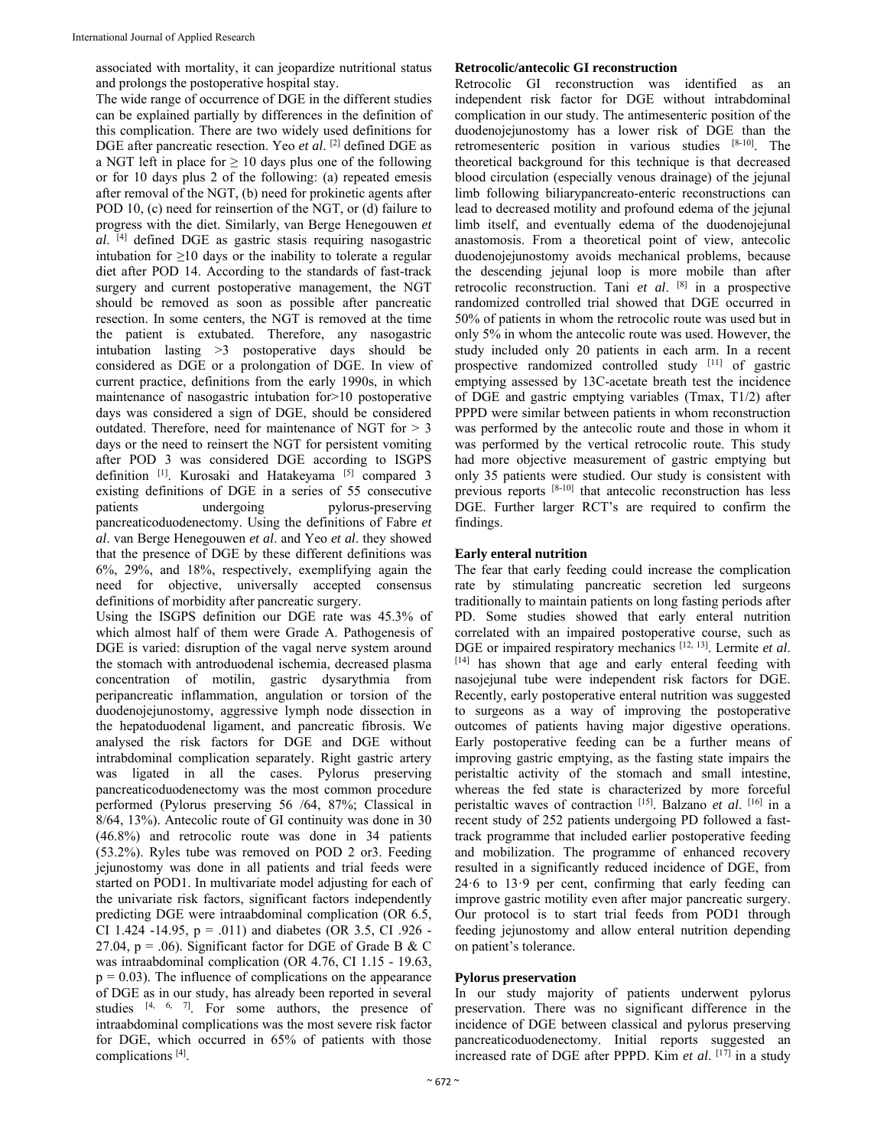associated with mortality, it can jeopardize nutritional status and prolongs the postoperative hospital stay.

The wide range of occurrence of DGE in the different studies can be explained partially by differences in the definition of this complication. There are two widely used definitions for DGE after pancreatic resection. Yeo *et al*. [2] defined DGE as a NGT left in place for  $\geq 10$  days plus one of the following or for 10 days plus 2 of the following: (a) repeated emesis after removal of the NGT, (b) need for prokinetic agents after POD 10, (c) need for reinsertion of the NGT, or (d) failure to progress with the diet. Similarly, van Berge Henegouwen *et al*. [4] defined DGE as gastric stasis requiring nasogastric intubation for  $\geq 10$  days or the inability to tolerate a regular diet after POD 14. According to the standards of fast-track surgery and current postoperative management, the NGT should be removed as soon as possible after pancreatic resection. In some centers, the NGT is removed at the time the patient is extubated. Therefore, any nasogastric intubation lasting >3 postoperative days should be considered as DGE or a prolongation of DGE. In view of current practice, definitions from the early 1990s, in which maintenance of nasogastric intubation for>10 postoperative days was considered a sign of DGE, should be considered outdated. Therefore, need for maintenance of NGT for > 3 days or the need to reinsert the NGT for persistent vomiting after POD 3 was considered DGE according to ISGPS definition [1]. Kurosaki and Hatakeyama [5] compared 3 existing definitions of DGE in a series of 55 consecutive patients undergoing pylorus-preserving pancreaticoduodenectomy. Using the definitions of Fabre *et al*. van Berge Henegouwen *et al*. and Yeo *et al*. they showed that the presence of DGE by these different definitions was 6%, 29%, and 18%, respectively, exemplifying again the need for objective, universally accepted consensus definitions of morbidity after pancreatic surgery.

Using the ISGPS definition our DGE rate was 45.3% of which almost half of them were Grade A. Pathogenesis of DGE is varied: disruption of the vagal nerve system around the stomach with antroduodenal ischemia, decreased plasma concentration of motilin, gastric dysarythmia from peripancreatic inflammation, angulation or torsion of the duodenojejunostomy, aggressive lymph node dissection in the hepatoduodenal ligament, and pancreatic fibrosis. We analysed the risk factors for DGE and DGE without intrabdominal complication separately. Right gastric artery was ligated in all the cases. Pylorus preserving pancreaticoduodenectomy was the most common procedure performed (Pylorus preserving 56 /64, 87%; Classical in 8/64, 13%). Antecolic route of GI continuity was done in 30 (46.8%) and retrocolic route was done in 34 patients (53.2%). Ryles tube was removed on POD 2 or3. Feeding jejunostomy was done in all patients and trial feeds were started on POD1. In multivariate model adjusting for each of the univariate risk factors, significant factors independently predicting DGE were intraabdominal complication (OR 6.5, CI 1.424 -14.95,  $p = .011$ ) and diabetes (OR 3.5, CI .926 -27.04,  $p = 0.06$ ). Significant factor for DGE of Grade B & C was intraabdominal complication (OR 4.76, CI 1.15 - 19.63,  $p = 0.03$ ). The influence of complications on the appearance of DGE as in our study, has already been reported in several studies  $[4, 6, 7]$ . For some authors, the presence of intraabdominal complications was the most severe risk factor for DGE, which occurred in 65% of patients with those complications [4].

#### **Retrocolic/antecolic GI reconstruction**

Retrocolic GI reconstruction was identified as an independent risk factor for DGE without intrabdominal complication in our study. The antimesenteric position of the duodenojejunostomy has a lower risk of DGE than the retromesenteric position in various studies  $[8-10]$ . The theoretical background for this technique is that decreased blood circulation (especially venous drainage) of the jejunal limb following biliarypancreato-enteric reconstructions can lead to decreased motility and profound edema of the jejunal limb itself, and eventually edema of the duodenojejunal anastomosis. From a theoretical point of view, antecolic duodenojejunostomy avoids mechanical problems, because the descending jejunal loop is more mobile than after retrocolic reconstruction. Tani *et al*. [8] in a prospective randomized controlled trial showed that DGE occurred in 50% of patients in whom the retrocolic route was used but in only 5% in whom the antecolic route was used. However, the study included only 20 patients in each arm. In a recent prospective randomized controlled study [11] of gastric emptying assessed by 13C-acetate breath test the incidence of DGE and gastric emptying variables (Tmax, T1/2) after PPPD were similar between patients in whom reconstruction was performed by the antecolic route and those in whom it was performed by the vertical retrocolic route. This study had more objective measurement of gastric emptying but only 35 patients were studied. Our study is consistent with previous reports [8-10] that antecolic reconstruction has less DGE. Further larger RCT's are required to confirm the findings.

#### **Early enteral nutrition**

The fear that early feeding could increase the complication rate by stimulating pancreatic secretion led surgeons traditionally to maintain patients on long fasting periods after PD. Some studies showed that early enteral nutrition correlated with an impaired postoperative course, such as DGE or impaired respiratory mechanics <sup>[12, 13]</sup>. Lermite *et al*. [<sup>14]</sup> has shown that age and early enteral feeding with nasojejunal tube were independent risk factors for DGE. Recently, early postoperative enteral nutrition was suggested to surgeons as a way of improving the postoperative outcomes of patients having major digestive operations. Early postoperative feeding can be a further means of improving gastric emptying, as the fasting state impairs the peristaltic activity of the stomach and small intestine, whereas the fed state is characterized by more forceful peristaltic waves of contraction [15]. Balzano *et al*. [16] in a recent study of 252 patients undergoing PD followed a fasttrack programme that included earlier postoperative feeding and mobilization. The programme of enhanced recovery resulted in a significantly reduced incidence of DGE, from 24·6 to 13·9 per cent, confirming that early feeding can improve gastric motility even after major pancreatic surgery. Our protocol is to start trial feeds from POD1 through feeding jejunostomy and allow enteral nutrition depending on patient's tolerance.

#### **Pylorus preservation**

In our study majority of patients underwent pylorus preservation. There was no significant difference in the incidence of DGE between classical and pylorus preserving pancreaticoduodenectomy. Initial reports suggested an increased rate of DGE after PPPD. Kim *et al*. [17] in a study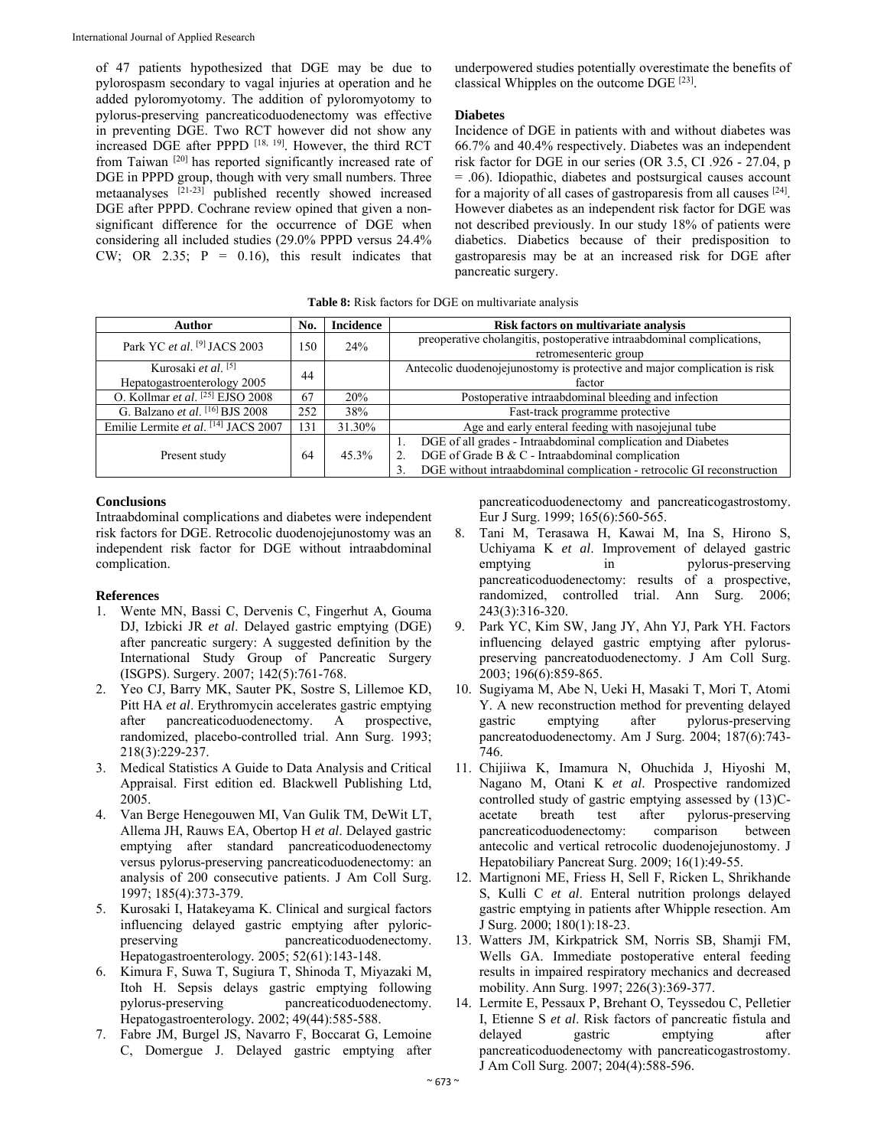of 47 patients hypothesized that DGE may be due to pylorospasm secondary to vagal injuries at operation and he added pyloromyotomy. The addition of pyloromyotomy to pylorus-preserving pancreaticoduodenectomy was effective in preventing DGE. Two RCT however did not show any increased DGE after PPPD [18, 19]. However, the third RCT from Taiwan<sup>[20]</sup> has reported significantly increased rate of DGE in PPPD group, though with very small numbers. Three metaanalyses [21-23] published recently showed increased DGE after PPPD. Cochrane review opined that given a nonsignificant difference for the occurrence of DGE when considering all included studies (29.0% PPPD versus 24.4% CW; OR 2.35;  $P = 0.16$ , this result indicates that

underpowered studies potentially overestimate the benefits of classical Whipples on the outcome DGE  $[23]$ .

#### **Diabetes**

Incidence of DGE in patients with and without diabetes was 66.7% and 40.4% respectively. Diabetes was an independent risk factor for DGE in our series (OR 3.5, CI .926 - 27.04, p = .06). Idiopathic, diabetes and postsurgical causes account for a majority of all cases of gastroparesis from all causes [24]. However diabetes as an independent risk factor for DGE was not described previously. In our study 18% of patients were diabetics. Diabetics because of their predisposition to gastroparesis may be at an increased risk for DGE after pancreatic surgery.

|  |  |  |  |  |  | Table 8: Risk factors for DGE on multivariate analysis |  |
|--|--|--|--|--|--|--------------------------------------------------------|--|
|--|--|--|--|--|--|--------------------------------------------------------|--|

| Author                                                                | No. | <b>Incidence</b> | Risk factors on multivariate analysis                                                                                                                                                            |
|-----------------------------------------------------------------------|-----|------------------|--------------------------------------------------------------------------------------------------------------------------------------------------------------------------------------------------|
| Park YC et al. $[9]$ JACS 2003                                        | 150 | 24%              | preoperative cholangitis, postoperative intraabdominal complications,<br>retromesenteric group                                                                                                   |
| Kurosaki <i>et al</i> . <sup>[5]</sup><br>Hepatogastroenterology 2005 | 44  |                  | Antecolic duodenojejunostomy is protective and major complication is risk<br>factor                                                                                                              |
| O. Kollmar et al. $[25]$ EJSO 2008                                    | 67  | 20%              | Postoperative intraabdominal bleeding and infection                                                                                                                                              |
| G. Balzano et al. [16] BJS 2008                                       | 252 | 38%              | Fast-track programme protective                                                                                                                                                                  |
| Emilie Lermite et al. [14] JACS 2007                                  | 131 | 31.30%           | Age and early enteral feeding with nasojejunal tube                                                                                                                                              |
| Present study                                                         | 64  | $45.3\%$         | DGE of all grades - Intraabdominal complication and Diabetes<br>DGE of Grade B & C - Intraabdominal complication<br>DGE without intraabdominal complication - retrocolic GI reconstruction<br>3. |

### **Conclusions**

Intraabdominal complications and diabetes were independent risk factors for DGE. Retrocolic duodenojejunostomy was an independent risk factor for DGE without intraabdominal complication.

## **References**

- 1. Wente MN, Bassi C, Dervenis C, Fingerhut A, Gouma DJ, Izbicki JR *et al*. Delayed gastric emptying (DGE) after pancreatic surgery: A suggested definition by the International Study Group of Pancreatic Surgery (ISGPS). Surgery. 2007; 142(5):761-768.
- 2. Yeo CJ, Barry MK, Sauter PK, Sostre S, Lillemoe KD, Pitt HA *et al*. Erythromycin accelerates gastric emptying after pancreaticoduodenectomy. A prospective, randomized, placebo-controlled trial. Ann Surg. 1993; 218(3):229-237.
- 3. Medical Statistics A Guide to Data Analysis and Critical Appraisal. First edition ed. Blackwell Publishing Ltd, 2005.
- 4. Van Berge Henegouwen MI, Van Gulik TM, DeWit LT, Allema JH, Rauws EA, Obertop H *et al*. Delayed gastric emptying after standard pancreaticoduodenectomy versus pylorus-preserving pancreaticoduodenectomy: an analysis of 200 consecutive patients. J Am Coll Surg. 1997; 185(4):373-379.
- 5. Kurosaki I, Hatakeyama K. Clinical and surgical factors influencing delayed gastric emptying after pyloricpreserving pancreaticoduodenectomy. Hepatogastroenterology*.* 2005; 52(61):143-148.
- 6. Kimura F, Suwa T, Sugiura T, Shinoda T, Miyazaki M, Itoh H. Sepsis delays gastric emptying following pylorus-preserving pancreaticoduodenectomy. Hepatogastroenterology*.* 2002; 49(44):585-588.
- 7. Fabre JM, Burgel JS, Navarro F, Boccarat G, Lemoine C, Domergue J. Delayed gastric emptying after

pancreaticoduodenectomy and pancreaticogastrostomy. Eur J Surg. 1999; 165(6):560-565.

- 8. Tani M, Terasawa H, Kawai M, Ina S, Hirono S, Uchiyama K *et al*. Improvement of delayed gastric emptying in pylorus-preserving pancreaticoduodenectomy: results of a prospective, randomized, controlled trial. Ann Surg. 2006; 243(3):316-320.
- 9. Park YC, Kim SW, Jang JY, Ahn YJ, Park YH. Factors influencing delayed gastric emptying after pyloruspreserving pancreatoduodenectomy. J Am Coll Surg. 2003; 196(6):859-865.
- 10. Sugiyama M, Abe N, Ueki H, Masaki T, Mori T, Atomi Y. A new reconstruction method for preventing delayed<br>gastric emptying after pylorus-preserving gastric emptying after pylorus-preserving pancreatoduodenectomy. Am J Surg. 2004; 187(6):743- 746.
- 11. Chijiiwa K, Imamura N, Ohuchida J, Hiyoshi M, Nagano M, Otani K *et al*. Prospective randomized controlled study of gastric emptying assessed by (13)Cacetate breath test after pylorus-preserving pancreaticoduodenectomy: comparison between antecolic and vertical retrocolic duodenojejunostomy. J Hepatobiliary Pancreat Surg. 2009; 16(1):49-55.
- 12. Martignoni ME, Friess H, Sell F, Ricken L, Shrikhande S, Kulli C *et al*. Enteral nutrition prolongs delayed gastric emptying in patients after Whipple resection. Am J Surg. 2000; 180(1):18-23.
- 13. Watters JM, Kirkpatrick SM, Norris SB, Shamji FM, Wells GA. Immediate postoperative enteral feeding results in impaired respiratory mechanics and decreased mobility. Ann Surg. 1997; 226(3):369-377.
- 14. Lermite E, Pessaux P, Brehant O, Teyssedou C, Pelletier I, Etienne S *et al*. Risk factors of pancreatic fistula and delayed gastric emptying after pancreaticoduodenectomy with pancreaticogastrostomy. J Am Coll Surg. 2007; 204(4):588-596.